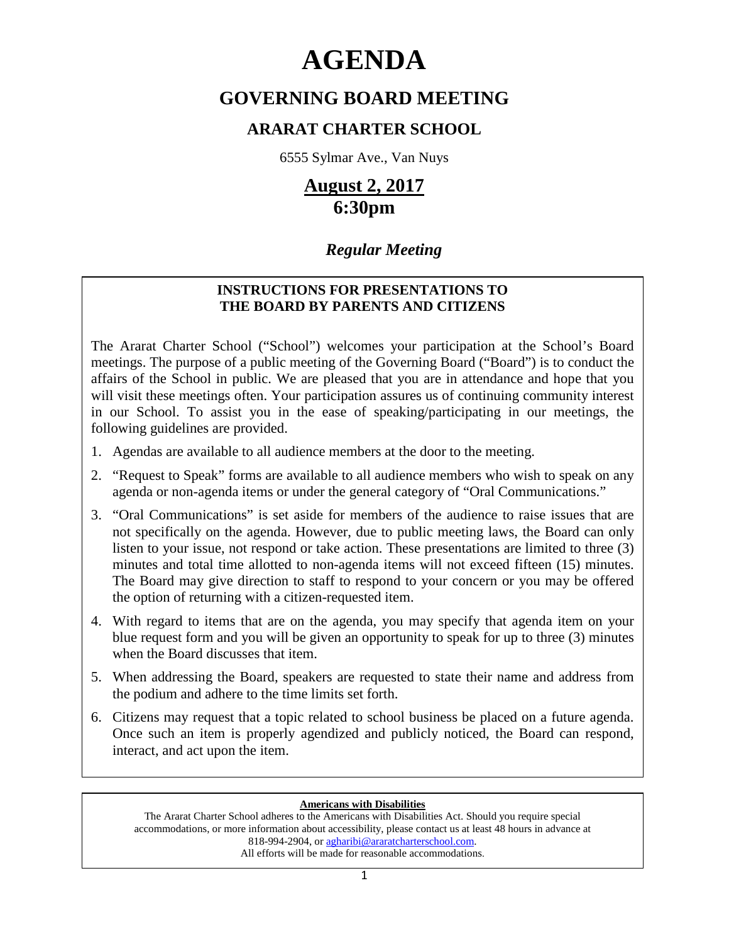# **AGENDA**

# **GOVERNING BOARD MEETING**

# **ARARAT CHARTER SCHOOL**

6555 Sylmar Ave., Van Nuys

# **August 2, 2017 6:30pm**

# *Regular Meeting*

# **INSTRUCTIONS FOR PRESENTATIONS TO THE BOARD BY PARENTS AND CITIZENS**

The Ararat Charter School ("School") welcomes your participation at the School's Board meetings. The purpose of a public meeting of the Governing Board ("Board") is to conduct the affairs of the School in public. We are pleased that you are in attendance and hope that you will visit these meetings often. Your participation assures us of continuing community interest in our School. To assist you in the ease of speaking/participating in our meetings, the following guidelines are provided.

- 1. Agendas are available to all audience members at the door to the meeting.
- 2. "Request to Speak" forms are available to all audience members who wish to speak on any agenda or non-agenda items or under the general category of "Oral Communications."
- 3. "Oral Communications" is set aside for members of the audience to raise issues that are not specifically on the agenda. However, due to public meeting laws, the Board can only listen to your issue, not respond or take action. These presentations are limited to three (3) minutes and total time allotted to non-agenda items will not exceed fifteen (15) minutes. The Board may give direction to staff to respond to your concern or you may be offered the option of returning with a citizen-requested item.
- 4. With regard to items that are on the agenda, you may specify that agenda item on your blue request form and you will be given an opportunity to speak for up to three (3) minutes when the Board discusses that item.
- 5. When addressing the Board, speakers are requested to state their name and address from the podium and adhere to the time limits set forth.
- 6. Citizens may request that a topic related to school business be placed on a future agenda. Once such an item is properly agendized and publicly noticed, the Board can respond, interact, and act upon the item.

# **Americans with Disabilities**

The Ararat Charter School adheres to the Americans with Disabilities Act. Should you require special accommodations, or more information about accessibility, please contact us at least 48 hours in advance at 818-994-2904, or agharibi@araratcharterschool.com. All efforts will be made for reasonable accommodations.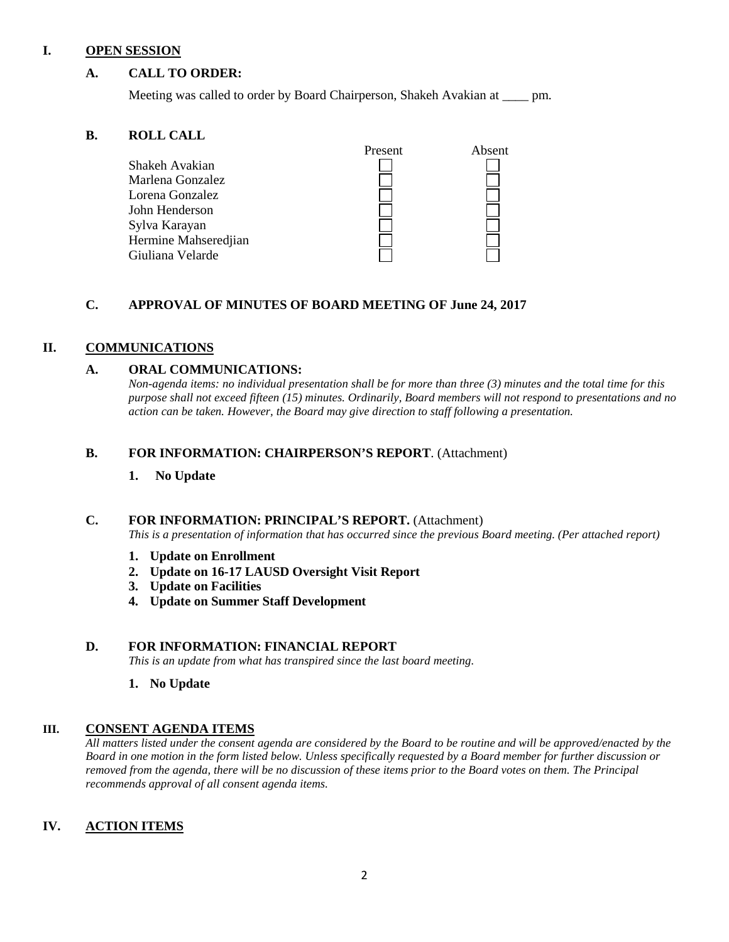#### **I. OPEN SESSION**

#### **A. CALL TO ORDER:**

Meeting was called to order by Board Chairperson, Shakeh Avakian at \_\_\_\_ pm.

#### **B. ROLL CALL**

|                      | Present | Absent |
|----------------------|---------|--------|
| Shakeh Avakian       |         |        |
| Marlena Gonzalez     |         |        |
| Lorena Gonzalez      |         |        |
| John Henderson       |         |        |
| Sylva Karayan        |         |        |
| Hermine Mahseredjian |         |        |
| Giuliana Velarde     |         |        |

#### **C. APPROVAL OF MINUTES OF BOARD MEETING OF June 24, 2017**

#### **II. COMMUNICATIONS**

#### **A. ORAL COMMUNICATIONS:**

*Non-agenda items: no individual presentation shall be for more than three (3) minutes and the total time for this purpose shall not exceed fifteen (15) minutes. Ordinarily, Board members will not respond to presentations and no action can be taken. However, the Board may give direction to staff following a presentation.*

#### **B. FOR INFORMATION: CHAIRPERSON'S REPORT**. (Attachment)

#### **1. No Update**

#### **C. FOR INFORMATION: PRINCIPAL'S REPORT.** (Attachment)

*This is a presentation of information that has occurred since the previous Board meeting. (Per attached report)*

- **1. Update on Enrollment**
- **2. Update on 16-17 LAUSD Oversight Visit Report**
- **3. Update on Facilities**
- **4. Update on Summer Staff Development**

#### **D. FOR INFORMATION: FINANCIAL REPORT**

*This is an update from what has transpired since the last board meeting.* 

**1. No Update**

#### **III. CONSENT AGENDA ITEMS**

*All matters listed under the consent agenda are considered by the Board to be routine and will be approved/enacted by the Board in one motion in the form listed below. Unless specifically requested by a Board member for further discussion or removed from the agenda, there will be no discussion of these items prior to the Board votes on them. The Principal recommends approval of all consent agenda items.*

# **IV. ACTION ITEMS**